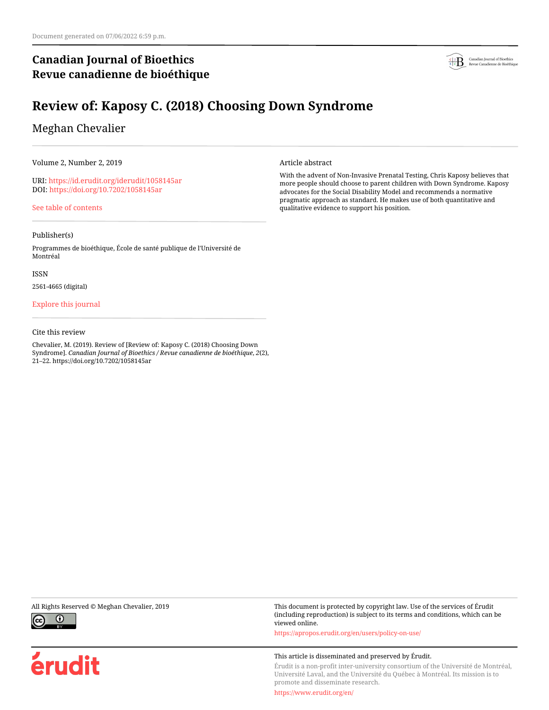## **Canadian Journal of Bioethics Revue canadienne de bioéthique**



# **Review of: Kaposy C. (2018) Choosing Down Syndrome**

## Meghan Chevalier

Volume 2, Number 2, 2019

URI:<https://id.erudit.org/iderudit/1058145ar> DOI:<https://doi.org/10.7202/1058145ar>

[See table of contents](https://www.erudit.org/en/journals/bioethics/2019-v2-n2-bioethics04449/)

### Publisher(s)

Programmes de bioéthique, École de santé publique de l'Université de Montréal

ISSN

2561-4665 (digital)

### [Explore this journal](https://www.erudit.org/en/journals/bioethics/)

### Cite this review

Chevalier, M. (2019). Review of [Review of: Kaposy C. (2018) Choosing Down Syndrome]. *Canadian Journal of Bioethics / Revue canadienne de bioéthique*, *2*(2), 21–22. https://doi.org/10.7202/1058145ar

Article abstract

With the advent of Non-Invasive Prenatal Testing, Chris Kaposy believes that more people should choose to parent children with Down Syndrome. Kaposy advocates for the Social Disability Model and recommends a normative pragmatic approach as standard. He makes use of both quantitative and qualitative evidence to support his position.



érudit

All Rights Reserved © Meghan Chevalier, 2019 This document is protected by copyright law. Use of the services of Érudit (including reproduction) is subject to its terms and conditions, which can be viewed online.

<https://apropos.erudit.org/en/users/policy-on-use/>

### This article is disseminated and preserved by Érudit.

Érudit is a non-profit inter-university consortium of the Université de Montréal, Université Laval, and the Université du Québec à Montréal. Its mission is to promote and disseminate research.

<https://www.erudit.org/en/>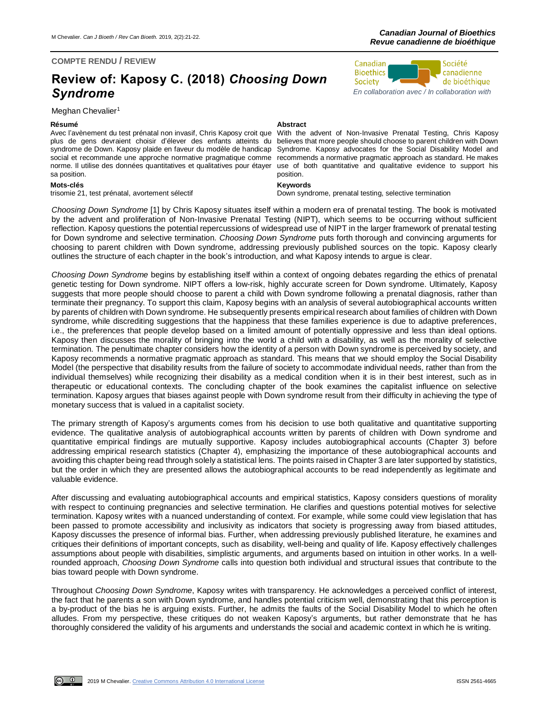### **COMPTE RENDU / REVIEW**

# **Review of: Kaposy C. (2018)** *Choosing Down Syndrome*

### Meghan Chevalier<sup>1</sup>

Avec l'avènement du test prénatal non invasif, Chris Kaposy croit que plus de gens devraient choisir d'élever des enfants atteints du syndrome de Down. Kaposy plaide en faveur du modèle de handicap social et recommande une approche normative pragmatique comme norme. Il utilise des données quantitatives et qualitatives pour étayer sa position.

**Mots-clés Keywords**

### **Résumé Abstract**

With the advent of Non-Invasive Prenatal Testing, Chris Kaposy believes that more people should choose to parent children with Down Syndrome. Kaposy advocates for the Social Disability Model and recommends a normative pragmatic approach as standard. He makes use of both quantitative and qualitative evidence to support his position.

Down syndrome, prenatal testing, selective termination

*Choosing Down Syndrome* [1] by Chris Kaposy situates itself within a modern era of prenatal testing. The book is motivated by the advent and proliferation of Non-Invasive Prenatal Testing (NIPT), which seems to be occurring without sufficient reflection. Kaposy questions the potential repercussions of widespread use of NIPT in the larger framework of prenatal testing for Down syndrome and selective termination. *Choosing Down Syndrome* puts forth thorough and convincing arguments for choosing to parent children with Down syndrome, addressing previously published sources on the topic. Kaposy clearly outlines the structure of each chapter in the book's introduction, and what Kaposy intends to argue is clear.

*Choosing Down Syndrome* begins by establishing itself within a context of ongoing debates regarding the ethics of prenatal genetic testing for Down syndrome. NIPT offers a low-risk, highly accurate screen for Down syndrome. Ultimately, Kaposy suggests that more people should choose to parent a child with Down syndrome following a prenatal diagnosis, rather than terminate their pregnancy. To support this claim, Kaposy begins with an analysis of several autobiographical accounts written by parents of children with Down syndrome. He subsequently presents empirical research about families of children with Down syndrome, while discrediting suggestions that the happiness that these families experience is due to adaptive preferences, i.e., the preferences that people develop based on a limited amount of potentially oppressive and less than ideal options. Kaposy then discusses the morality of bringing into the world a child with a disability, as well as the morality of selective termination. The penultimate chapter considers how the identity of a person with Down syndrome is perceived by society, and Kaposy recommends a normative pragmatic approach as standard. This means that we should employ the Social Disability Model (the perspective that disability results from the failure of society to accommodate individual needs, rather than from the individual themselves) while recognizing their disability as a medical condition when it is in their best interest, such as in therapeutic or educational contexts. The concluding chapter of the book examines the capitalist influence on selective termination. Kaposy argues that biases against people with Down syndrome result from their difficulty in achieving the type of monetary success that is valued in a capitalist society.

The primary strength of Kaposy's arguments comes from his decision to use both qualitative and quantitative supporting evidence. The qualitative analysis of autobiographical accounts written by parents of children with Down syndrome and quantitative empirical findings are mutually supportive. Kaposy includes autobiographical accounts (Chapter 3) before addressing empirical research statistics (Chapter 4), emphasizing the importance of these autobiographical accounts and avoiding this chapter being read through solely a statistical lens. The points raised in Chapter 3 are later supported by statistics, but the order in which they are presented allows the autobiographical accounts to be read independently as legitimate and valuable evidence.

After discussing and evaluating autobiographical accounts and empirical statistics, Kaposy considers questions of morality with respect to continuing pregnancies and selective termination. He clarifies and questions potential motives for selective termination. Kaposy writes with a nuanced understanding of context. For example, while some could view legislation that has been passed to promote accessibility and inclusivity as indicators that society is progressing away from biased attitudes, Kaposy discusses the presence of informal bias. Further, when addressing previously published literature, he examines and critiques their definitions of important concepts, such as disability, well-being and quality of life. Kaposy effectively challenges assumptions about people with disabilities, simplistic arguments, and arguments based on intuition in other works. In a wellrounded approach, *Choosing Down Syndrome* calls into question both individual and structural issues that contribute to the bias toward people with Down syndrome.

Throughout *Choosing Down Syndrome*, Kaposy writes with transparency. He acknowledges a perceived conflict of interest, the fact that he parents a son with Down syndrome, and handles potential criticism well, demonstrating that this perception is a by-product of the bias he is arguing exists. Further, he admits the faults of the Social Disability Model to which he often alludes. From my perspective, these critiques do not weaken Kaposy's arguments, but rather demonstrate that he has thoroughly considered the validity of his arguments and understands the social and academic context in which he is writing.



 $\omega$   $\omega$